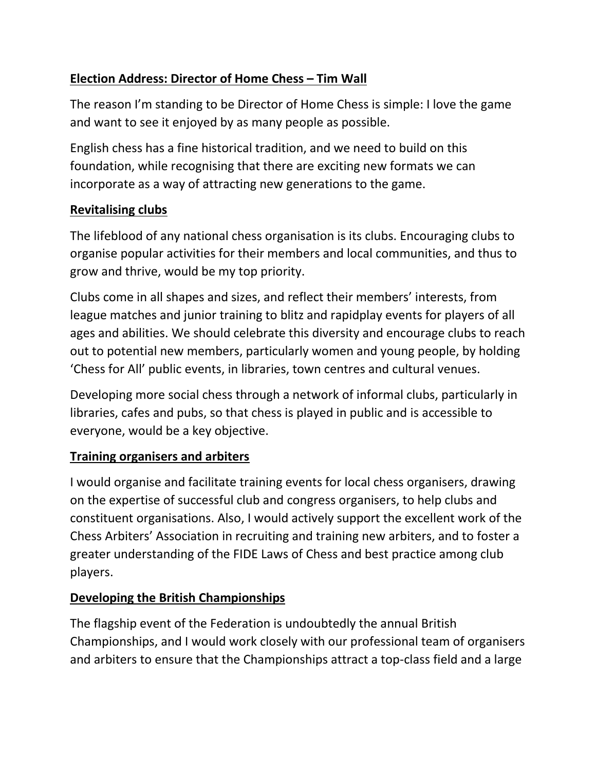# **Election Address: Director of Home Chess – Tim Wall**

The reason I'm standing to be Director of Home Chess is simple: I love the game and want to see it enjoyed by as many people as possible.

English chess has a fine historical tradition, and we need to build on this foundation, while recognising that there are exciting new formats we can incorporate as a way of attracting new generations to the game.

## **Revitalising clubs**

The lifeblood of any national chess organisation is its clubs. Encouraging clubs to organise popular activities for their members and local communities, and thus to grow and thrive, would be my top priority.

Clubs come in all shapes and sizes, and reflect their members' interests, from league matches and junior training to blitz and rapidplay events for players of all ages and abilities. We should celebrate this diversity and encourage clubs to reach out to potential new members, particularly women and young people, by holding 'Chess for All' public events, in libraries, town centres and cultural venues.

Developing more social chess through a network of informal clubs, particularly in libraries, cafes and pubs, so that chess is played in public and is accessible to everyone, would be a key objective.

# **Training organisers and arbiters**

I would organise and facilitate training events for local chess organisers, drawing on the expertise of successful club and congress organisers, to help clubs and constituent organisations. Also, I would actively support the excellent work of the Chess Arbiters' Association in recruiting and training new arbiters, and to foster a greater understanding of the FIDE Laws of Chess and best practice among club players.

# **Developing the British Championships**

The flagship event of the Federation is undoubtedly the annual British Championships, and I would work closely with our professional team of organisers and arbiters to ensure that the Championships attract a top-class field and a large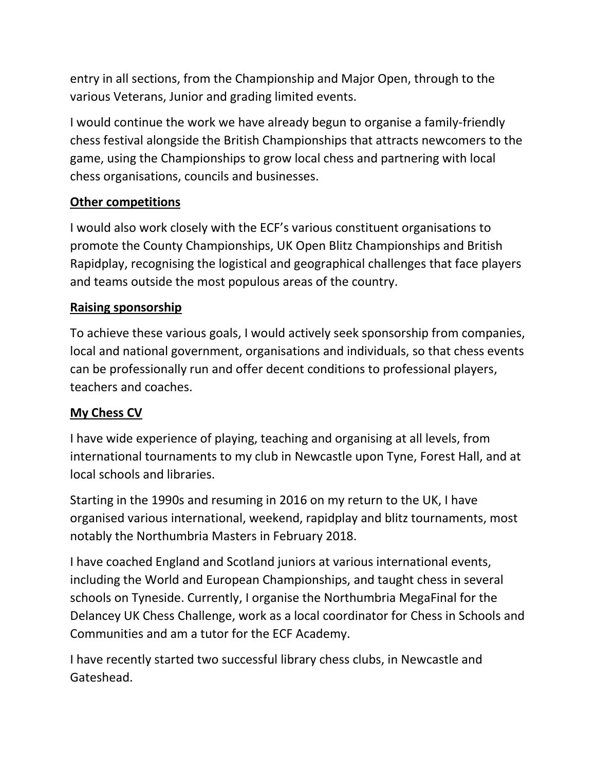entry in all sections, from the Championship and Major Open, through to the various Veterans, Junior and grading limited events.

I would continue the work we have already begun to organise a family-friendly chess festival alongside the British Championships that attracts newcomers to the game, using the Championships to grow local chess and partnering with local chess organisations, councils and businesses.

## **Other competitions**

I would also work closely with the ECF's various constituent organisations to promote the County Championships, UK Open Blitz Championships and British Rapidplay, recognising the logistical and geographical challenges that face players and teams outside the most populous areas of the country.

## **Raising sponsorship**

To achieve these various goals, I would actively seek sponsorship from companies, local and national government, organisations and individuals, so that chess events can be professionally run and offer decent conditions to professional players, teachers and coaches.

#### **My Chess CV**

I have wide experience of playing, teaching and organising at all levels, from international tournaments to my club in Newcastle upon Tyne, Forest Hall, and at local schools and libraries.

Starting in the 1990s and resuming in 2016 on my return to the UK, I have organised various international, weekend, rapidplay and blitz tournaments, most notably the Northumbria Masters in February 2018.

I have coached England and Scotland juniors at various international events, including the World and European Championships, and taught chess in several schools on Tyneside. Currently, I organise the Northumbria MegaFinal for the Delancey UK Chess Challenge, work as a local coordinator for Chess in Schools and Communities and am a tutor for the ECF Academy.

I have recently started two successful library chess clubs, in Newcastle and Gateshead.